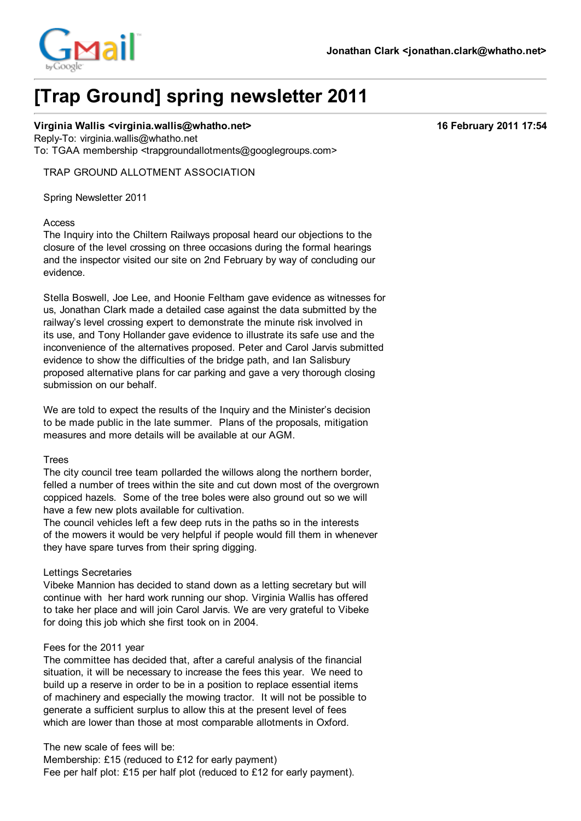

# **[Trap Ground] spring newsletter 2011**

## **Virginia Wallis <virginia.wallis@whatho.net> 16 February 2011 17:54**

Reply-To: virginia.wallis@whatho.net To: TGAA membership <trapgroundallotments@googlegroups.com>

TRAP GROUND ALLOTMENT ASSOCIATION

Spring Newsletter 2011

#### Access

The Inquiry into the Chiltern Railways proposal heard our objections to the closure of the level crossing on three occasions during the formal hearings and the inspector visited our site on 2nd February by way of concluding our evidence.

Stella Boswell, Joe Lee, and Hoonie Feltham gave evidence as witnesses for us, Jonathan Clark made a detailed case against the data submitted by the railway's level crossing expert to demonstrate the minute risk involved in its use, and Tony Hollander gave evidence to illustrate its safe use and the inconvenience of the alternatives proposed. Peter and Carol Jarvis submitted evidence to show the difficulties of the bridge path, and Ian Salisbury proposed alternative plans for car parking and gave a very thorough closing submission on our behalf.

We are told to expect the results of the Inquiry and the Minister's decision to be made public in the late summer. Plans of the proposals, mitigation measures and more details will be available at our AGM.

#### Trees

The city council tree team pollarded the willows along the northern border, felled a number of trees within the site and cut down most of the overgrown coppiced hazels. Some of the tree boles were also ground out so we will have a few new plots available for cultivation.

The council vehicles left a few deep ruts in the paths so in the interests of the mowers it would be very helpful if people would fill them in whenever they have spare turves from their spring digging.

# Lettings Secretaries

Vibeke Mannion has decided to stand down as a letting secretary but will continue with her hard work running our shop. Virginia Wallis has offered to take her place and will join Carol Jarvis. We are very grateful to Vibeke for doing this job which she first took on in 2004.

#### Fees for the 2011 year

The committee has decided that, after a careful analysis of the financial situation, it will be necessary to increase the fees this year. We need to build up a reserve in order to be in a position to replace essential items of machinery and especially the mowing tractor. It will not be possible to generate a sufficient surplus to allow this at the present level of fees which are lower than those at most comparable allotments in Oxford.

The new scale of fees will be:

Membership: £15 (reduced to £12 for early payment) Fee per half plot: £15 per half plot (reduced to £12 for early payment).